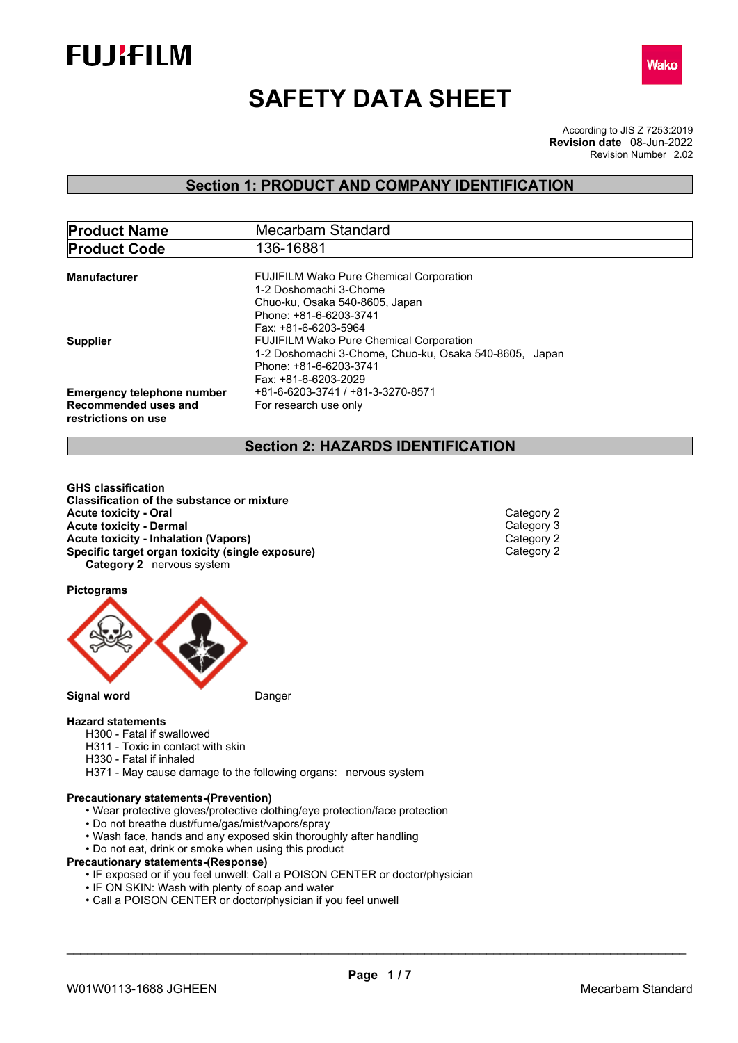



# **SAFETY DATA SHEET**

According to JIS Z 7253:2019 Revision Number 2.02 **Revision date** 08-Jun-2022

### **Section 1: PRODUCT AND COMPANY IDENTIFICATION**

| <b>Product Name</b>               | Mecarbam Standard<br>136-16881                         |  |
|-----------------------------------|--------------------------------------------------------|--|
| <b>Product Code</b>               |                                                        |  |
|                                   |                                                        |  |
| Manufacturer                      | <b>FUJIFILM Wako Pure Chemical Corporation</b>         |  |
|                                   | 1-2 Doshomachi 3-Chome                                 |  |
|                                   | Chuo-ku, Osaka 540-8605, Japan                         |  |
|                                   | Phone: +81-6-6203-3741                                 |  |
|                                   | Fax: +81-6-6203-5964                                   |  |
| <b>Supplier</b>                   | <b>FUJIFILM Wako Pure Chemical Corporation</b>         |  |
|                                   | 1-2 Doshomachi 3-Chome, Chuo-ku, Osaka 540-8605, Japan |  |
|                                   | Phone: +81-6-6203-3741                                 |  |
|                                   | Fax: +81-6-6203-2029                                   |  |
| <b>Emergency telephone number</b> | +81-6-6203-3741 / +81-3-3270-8571                      |  |
|                                   |                                                        |  |
| Recommended uses and              | For research use only                                  |  |
| restrictions on use               |                                                        |  |

### **Section 2: HAZARDS IDENTIFICATION**

**GHS classification Classification of the substance or mixture Acute toxicity - Oral Category 2**<br> **Acute toxicity - Dermal** Category 3 **Acute toxicity - Dermal** Category 3<br> **Acute toxicity - Inhalation (Vapors) Acute toxicity - Inhalation (Vapors)** Category 2 **Specific target organ toxicity (single exposure) Category 2** nervous system

**Pictograms**



#### **Hazard statements**

- H300 Fatal if swallowed
- H311 Toxic in contact with skin
- H330 Fatal if inhaled
- H371 May cause damage to the following organs: nervous system

#### **Precautionary statements-(Prevention)**

- Wear protective gloves/protective clothing/eye protection/face protection
- Do not breathe dust/fume/gas/mist/vapors/spray
- Wash face, hands and any exposed skin thoroughly after handling
- Do not eat, drink or smoke when using this product

#### **Precautionary statements-(Response)**

- IF exposed or if you feel unwell: Call a POISON CENTER or doctor/physician
- IF ON SKIN: Wash with plenty of soap and water
- Call a POISON CENTER or doctor/physician if you feel unwell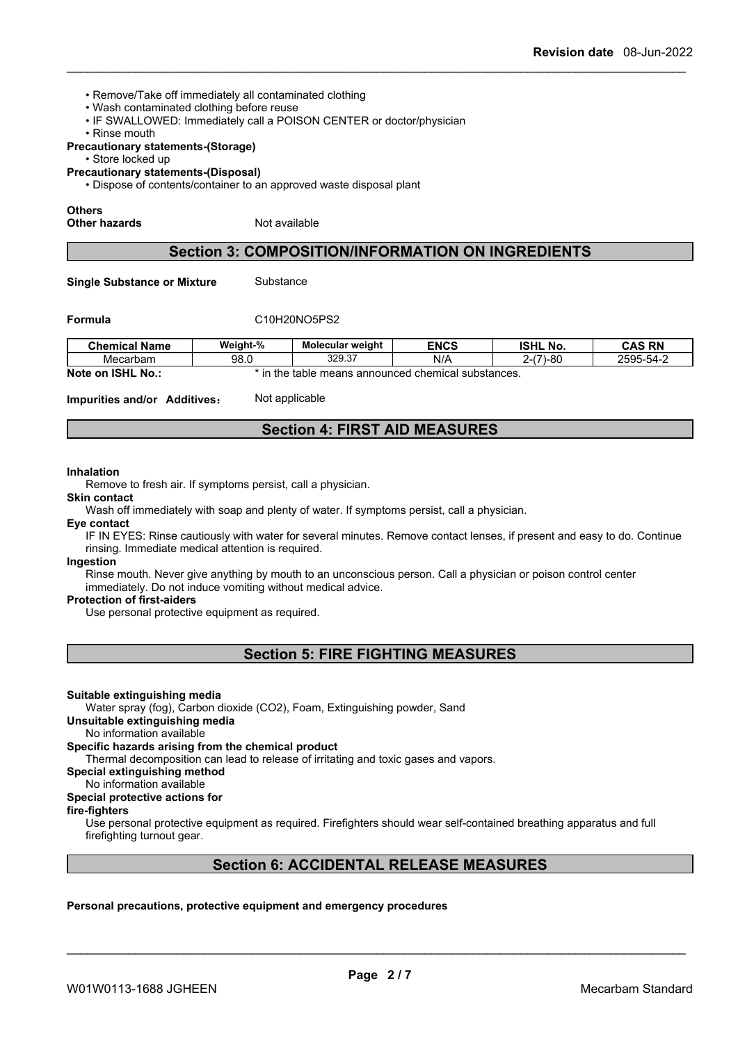- Remove/Take off immediately all contaminated clothing
- Wash contaminated clothing before reuse
- IF SWALLOWED: Immediately call a POISON CENTER or doctor/physician
- Rinse mouth

#### **Precautionary statements-(Storage)**

• Store locked up

**Precautionary statements-(Disposal)**

• Dispose of contents/container to an approved waste disposal plant

#### **Others**

**Other hazards** Not available

### **Section 3: COMPOSITION/INFORMATION ON INGREDIENTS**

**Single Substance or Mixture** Substance

### **Formula** C10H20NO5PS2

| <b>Chemical Name</b>           | Weight-%                                                               | <b>Molecular weight</b> | <b>ENCS</b> | <b>ISHL No.</b>                             | <b>CAS RN</b> |  |
|--------------------------------|------------------------------------------------------------------------|-------------------------|-------------|---------------------------------------------|---------------|--|
| Mecarbam                       | 98.0                                                                   | 329.37                  | N/A         | $-80$<br>$\overline{\phantom{a}}$<br>–∠–\ 1 | 2595-54-2     |  |
| Note on<br><b>ISHL</b><br>No.: | the<br>ns announced chemical s<br>ш<br>substances.<br>. means<br>table |                         |             |                                             |               |  |

**Impurities and/or Additives:** Not applicable

### **Section 4: FIRST AID MEASURES**

#### **Inhalation**

Remove to fresh air. If symptoms persist, call a physician.

**Skin contact**

Wash off immediately with soap and plenty of water. If symptoms persist, call a physician.

**Eye contact**

IF IN EYES: Rinse cautiously with water for several minutes. Remove contact lenses, if present and easy to do. Continue rinsing. Immediate medical attention is required.

#### **Ingestion**

Rinse mouth. Never give anything by mouth to an unconscious person. Call a physician or poison control center immediately. Do not induce vomiting without medical advice.

#### **Protection of first-aiders**

Use personal protective equipment as required.

**Section 5: FIRE FIGHTING MEASURES**

#### **Suitable extinguishing media**

Water spray (fog), Carbon dioxide (CO2), Foam, Extinguishing powder, Sand

#### **Unsuitable extinguishing media**

### No information available

**Specific hazards arising from the chemical product** Thermal decomposition can lead to release of irritating and toxic gases and vapors.

**Special extinguishing method**

#### No information available

#### **Special protective actions for**

#### **fire-fighters**

Use personal protective equipment as required.Firefighters should wear self-contained breathing apparatus and full firefighting turnout gear.

### **Section 6: ACCIDENTAL RELEASE MEASURES**

**Personal precautions, protective equipment and emergency procedures**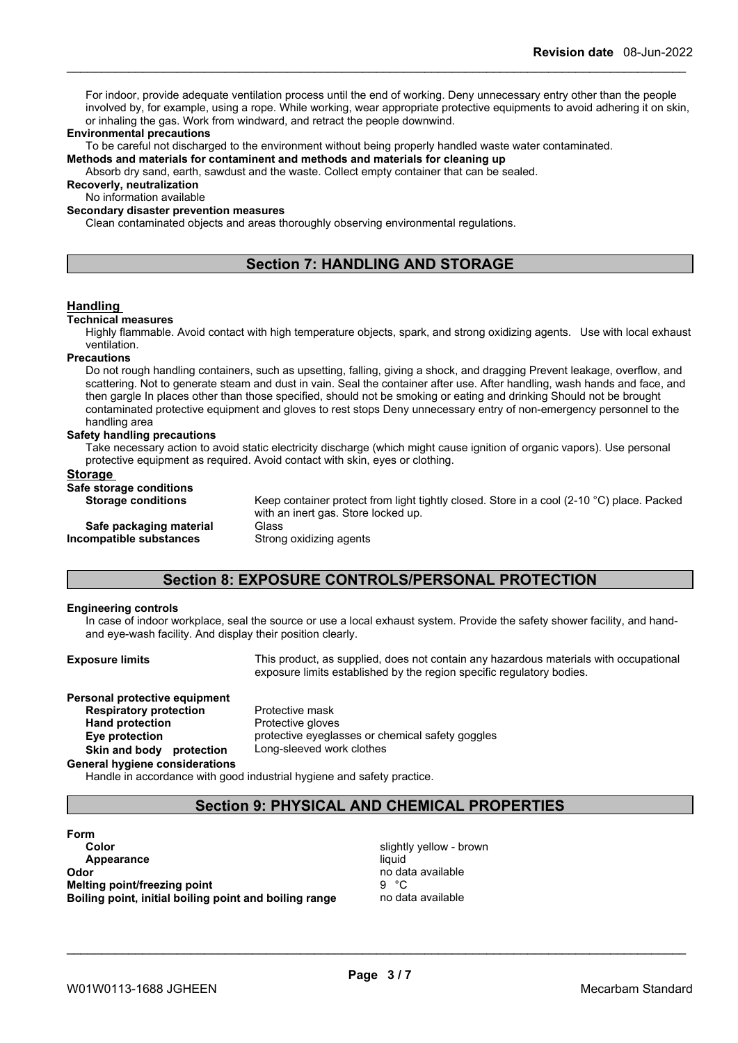For indoor, provide adequate ventilation process until the end of working. Deny unnecessary entry other than the people involved by, for example, using a rope. While working, wear appropriate protective equipments to avoid adhering it on skin, or inhaling the gas. Work from windward, and retract the people downwind.

#### **Environmental precautions**

To be careful not discharged to the environment without being properly handled waste water contaminated.

**Methods and materials for contaminent and methods and materials for cleaning up**

Absorb dry sand, earth, sawdust and the waste. Collect empty container that can be sealed.

**Recoverly, neutralization**

No information available

#### **Secondary disaster prevention measures**

Clean contaminated objects and areas thoroughly observing environmental regulations.

### **Section 7: HANDLING AND STORAGE**

#### **Handling**

#### **Technical measures**

Highly flammable. Avoid contact with high temperature objects, spark, and strong oxidizing agents. Use with local exhaust ventilation.

#### **Precautions**

Do not rough handling containers, such as upsetting, falling, giving a shock, and dragging Prevent leakage, overflow, and scattering. Not to generate steam and dust in vain. Seal the container after use. After handling, wash hands and face, and then gargle In places other than those specified, should not be smoking or eating and drinking Should not be brought contaminated protective equipment and gloves to rest stops Deny unnecessary entry of non-emergency personnel to the handling area

#### **Safety handling precautions**

Take necessary action to avoid static electricity discharge (which might cause ignition of organic vapors). Use personal protective equipment as required. Avoid contact with skin, eyes or clothing.

#### **Storage**

#### **Safe storage conditions**

| oare storage conuntions   |
|---------------------------|
| <b>Storage conditions</b> |

**Keep container protect from light tightly closed. Store in a cool (2-10 °C) place. Packed** with an inert gas. Store locked up.

**Safe packaging material** Glass<br>**ompatible substances** Strong oxidizing agents **Incompatible** substances

### **Section 8: EXPOSURE CONTROLS/PERSONAL PROTECTION**

#### **Engineering controls**

In case of indoor workplace, seal the source or use a local exhaust system. Provide the safety shower facility, and handand eye-wash facility. And display their position clearly.

**Exposure limits** This product, as supplied, does not contain any hazardous materials with occupational exposure limits established by the region specific regulatory bodies.

## **Personal protective equipment**<br>**Respiratory protection** Protective mask **Respiratory protection**<br>Hand protection **Skin and body protection** Long-sleeved work clothes

**Protective gloves Eye protection** protective eyeglasses or chemical safety goggles

#### **General hygiene considerations**

Handle in accordance with good industrial hygiene and safety practice.

### **Section 9: PHYSICAL AND CHEMICAL PROPERTIES**

**Form Color** Slightly yellow - brown **Appearance** liquid **Odor** no data available **Melting point/freezing point** 9 °C **Boiling point, initial boiling point and boiling range** no data available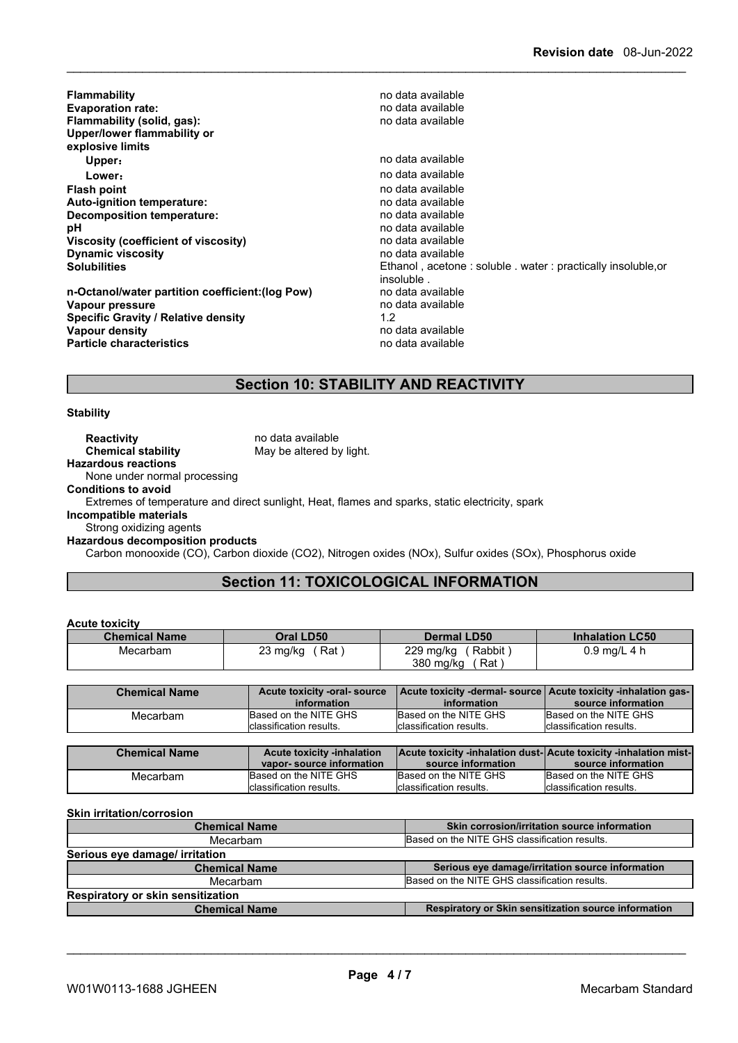| <b>Flammability</b><br><b>Evaporation rate:</b><br>Flammability (solid, gas):<br>Upper/lower flammability or<br>explosive limits                                                | no data available<br>no data available<br>no data available                                                                                                                                           |
|---------------------------------------------------------------------------------------------------------------------------------------------------------------------------------|-------------------------------------------------------------------------------------------------------------------------------------------------------------------------------------------------------|
| Upper:                                                                                                                                                                          | no data available                                                                                                                                                                                     |
| Lower:                                                                                                                                                                          | no data available                                                                                                                                                                                     |
| <b>Flash point</b><br>Auto-ignition temperature:<br>Decomposition temperature:<br>рH<br>Viscosity (coefficient of viscosity)<br><b>Dynamic viscosity</b><br><b>Solubilities</b> | no data available<br>no data available<br>no data available<br>no data available<br>no data available<br>no data available<br>Ethanol, acetone: soluble, water: practically insoluble.or<br>insoluble |
| n-Octanol/water partition coefficient: (log Pow)<br>Vapour pressure<br><b>Specific Gravity / Relative density</b><br>Vapour density<br><b>Particle characteristics</b>          | no data available<br>no data available<br>1.2<br>no data available<br>no data available                                                                                                               |

### **Section 10: STABILITY AND REACTIVITY**

### **Stability**

**Reactivity no data available** 

**Chemical stability** May be altered by light.

**Hazardous reactions** None under normal processing

**Conditions to avoid**

Extremes of temperature and direct sunlight, Heat, flames and sparks, static electricity, spark

**Incompatible materials**

**Acute toxicity**

Strong oxidizing agents

**Hazardous decomposition products**

Carbon monooxide (CO), Carbon dioxide (CO2), Nitrogen oxides (NOx), Sulfur oxides (SOx), Phosphorus oxide

### **Section 11: TOXICOLOGICAL INFORMATION**

| <b>ACUTE TOXICITY</b> |                               |                                                                |                        |
|-----------------------|-------------------------------|----------------------------------------------------------------|------------------------|
| <b>Chemical Name</b>  | Oral LD50                     | Dermal LD50                                                    | <b>Inhalation LC50</b> |
| Mecarbam              | (Rat)<br>$23 \text{ mg/kg}$ ( | (Rabbit)<br>229 mg/kg<br>380 ma/ka<br>⊺Rat                     | $0.9$ mg/L 4 h         |
|                       |                               |                                                                |                        |
| <b>Chemical Name</b>  | Acute toxicity -oral-source   | Acute toxicity -dermal- source Acute toxicity -inhalation gas- |                        |

| <b>Chemical Name</b> | Acute toxicity -oral-source<br>information | information              | Acute toxicity -dermal- source Acute toxicity -inhalation gas-<br>source information |
|----------------------|--------------------------------------------|--------------------------|--------------------------------------------------------------------------------------|
| Mecarbam             | Based on the NITE GHS                      | Based on the NITE GHS    | Based on the NITE GHS                                                                |
|                      | Iclassification results.                   | Iclassification results. | lclassification results.                                                             |

| <b>Chemical Name</b> | <b>Acute toxicity -inhalation</b><br>vapor-source information | source information       | <b>Acute toxicity -inhalation dust-Acute toxicity -inhalation mist-</b><br>source information |
|----------------------|---------------------------------------------------------------|--------------------------|-----------------------------------------------------------------------------------------------|
| Mecarbam             | Based on the NITE GHS                                         | Based on the NITE GHS    | Based on the NITE GHS                                                                         |
|                      | Iclassification results.                                      | Iclassification results. | Iclassification results.                                                                      |

**Skin irritation/corrosion**

| <b>Chemical Name</b>                     | Skin corrosion/irritation source information         |  |  |  |
|------------------------------------------|------------------------------------------------------|--|--|--|
| Mecarbam                                 | Based on the NITE GHS classification results.        |  |  |  |
| Serious eye damage/ irritation           |                                                      |  |  |  |
| <b>Chemical Name</b>                     | Serious eye damage/irritation source information     |  |  |  |
| Mecarbam                                 | Based on the NITE GHS classification results.        |  |  |  |
| <b>Respiratory or skin sensitization</b> |                                                      |  |  |  |
| <b>Chemical Name</b>                     | Respiratory or Skin sensitization source information |  |  |  |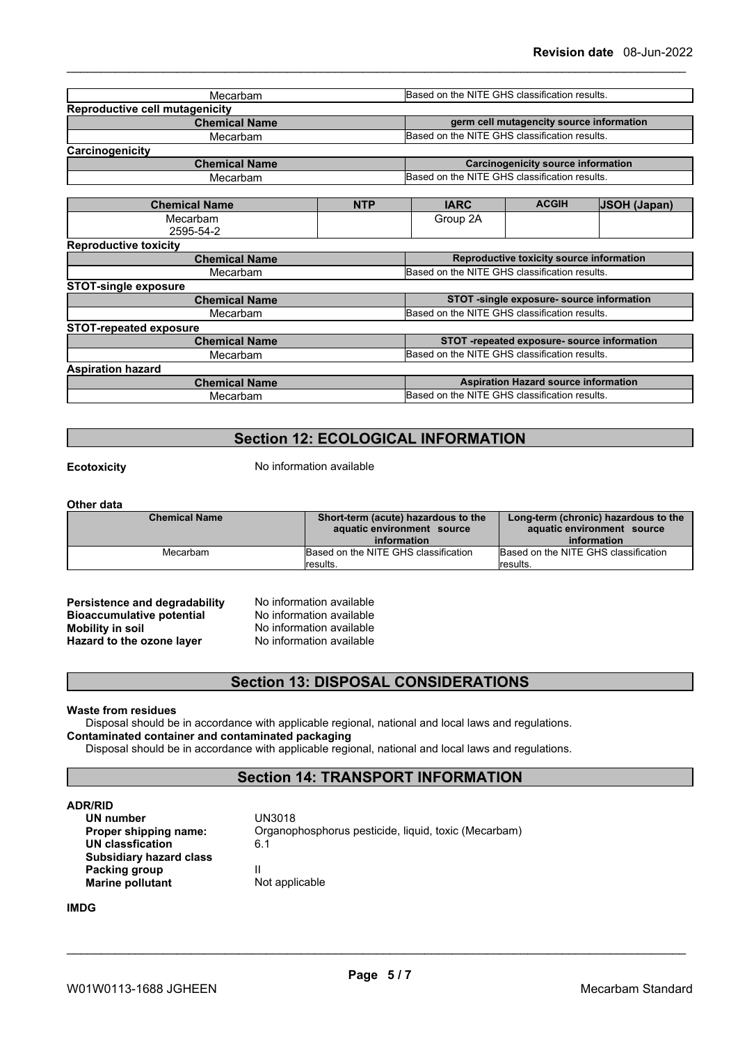| Mecarbam                              |            | Based on the NITE GHS classification results. |                                             |                     |
|---------------------------------------|------------|-----------------------------------------------|---------------------------------------------|---------------------|
| <b>Reproductive cell mutagenicity</b> |            |                                               |                                             |                     |
| <b>Chemical Name</b>                  |            |                                               | germ cell mutagencity source information    |                     |
| Mecarbam                              |            | Based on the NITE GHS classification results. |                                             |                     |
| <b>Carcinogenicity</b>                |            |                                               |                                             |                     |
| <b>Chemical Name</b>                  |            |                                               | Carcinogenicity source information          |                     |
| Mecarbam                              |            | Based on the NITE GHS classification results. |                                             |                     |
|                                       |            |                                               |                                             |                     |
| <b>Chemical Name</b>                  | <b>NTP</b> | <b>IARC</b>                                   | <b>ACGIH</b>                                | <b>JSOH (Japan)</b> |
| Mecarbam                              |            | Group 2A                                      |                                             |                     |
| 2595-54-2                             |            |                                               |                                             |                     |
| <b>Reproductive toxicity</b>          |            |                                               |                                             |                     |
| <b>Chemical Name</b>                  |            |                                               | Reproductive toxicity source information    |                     |
| Mecarbam                              |            | Based on the NITE GHS classification results. |                                             |                     |
| <b>STOT-single exposure</b>           |            |                                               |                                             |                     |
| <b>Chemical Name</b>                  |            |                                               | STOT -single exposure- source information   |                     |
| Mecarbam                              |            | Based on the NITE GHS classification results. |                                             |                     |
| <b>STOT-repeated exposure</b>         |            |                                               |                                             |                     |
| <b>Chemical Name</b>                  |            |                                               | STOT -repeated exposure- source information |                     |
| Mecarbam                              |            | Based on the NITE GHS classification results. |                                             |                     |
| <b>Aspiration hazard</b>              |            |                                               |                                             |                     |
| <b>Chemical Name</b>                  |            |                                               | <b>Aspiration Hazard source information</b> |                     |
| Mecarbam                              |            | Based on the NITE GHS classification results. |                                             |                     |
|                                       |            |                                               |                                             |                     |

### **Section 12: ECOLOGICAL INFORMATION**

**Ecotoxicity** No information available

#### **Other data**

| <b>Chemical Name</b> | Short-term (acute) hazardous to the<br>aquatic environment source<br>information | Long-term (chronic) hazardous to the<br>aquatic environment source<br>information |
|----------------------|----------------------------------------------------------------------------------|-----------------------------------------------------------------------------------|
| Mecarbam             | Based on the NITE GHS classification                                             | Based on the NITE GHS classification                                              |
|                      | results.                                                                         | lresults.                                                                         |

**Persistence and degradability** No information available<br>**Bioaccumulative potential** No information available **Bioaccumulative potential Mobility in soil**<br> **Hazard to the ozone laver** Mo information available **Hazard** to the ozone layer

### **Section 13: DISPOSAL CONSIDERATIONS**

#### **Waste from residues**

Disposal should be in accordance with applicable regional, national and local laws and regulations. **Contaminated container and contaminated packaging**

Disposal should be in accordance with applicable regional, national and local laws and regulations.

### **Section 14: TRANSPORT INFORMATION**

**ADR/RID**<br>**UN number** UN3018 **UN** number **UN classfication** 6.1 **Subsidiary hazard class Packing group**<br> **Marine pollutant Example 2018 I** Not applicable **Marine** pollutant

**Proper shipping name:** Organophosphorus pesticide, liquid, toxic (Mecarbam)

#### **IMDG**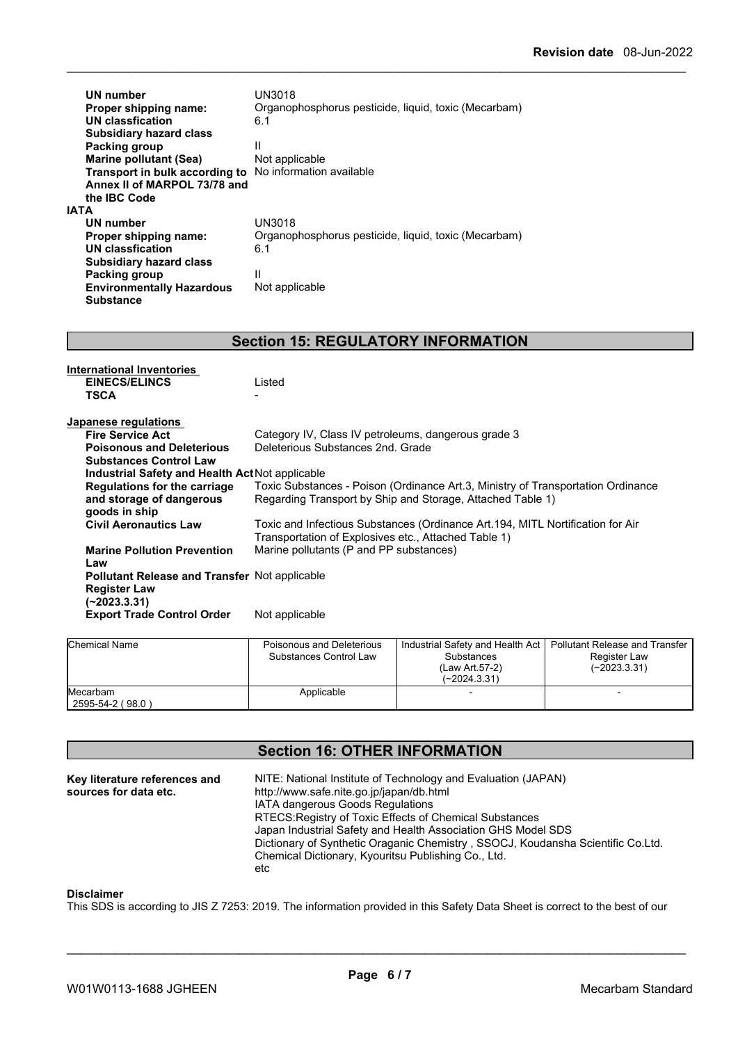| UN number<br>Proper shipping name:<br>UN classfication<br><b>Subsidiary hazard class</b><br><b>Packing group</b><br><b>Marine pollutant (Sea)</b><br>Transport in bulk according to<br>Annex II of MARPOL 73/78 and<br>the IBC Code<br>IATA | UN3018<br>Organophosphorus pesticide, liquid, toxic (Mecarbam)<br>6.1<br>Ш<br>Not applicable<br>No information available |
|---------------------------------------------------------------------------------------------------------------------------------------------------------------------------------------------------------------------------------------------|--------------------------------------------------------------------------------------------------------------------------|
| UN number                                                                                                                                                                                                                                   | UN3018                                                                                                                   |
| Proper shipping name:                                                                                                                                                                                                                       | Organophosphorus pesticide, liquid, toxic (Mecarbam)                                                                     |
| UN classfication                                                                                                                                                                                                                            | 6.1                                                                                                                      |
| <b>Subsidiary hazard class</b>                                                                                                                                                                                                              |                                                                                                                          |
| Packing group                                                                                                                                                                                                                               | Ш                                                                                                                        |
| <b>Environmentally Hazardous</b><br><b>Substance</b>                                                                                                                                                                                        | Not applicable                                                                                                           |

## **Section 15: REGULATORY INFORMATION**

| International Inventories<br><b>EINECS/ELINCS</b><br><b>TSCA</b>                            | Listed                                                                                                                                  |
|---------------------------------------------------------------------------------------------|-----------------------------------------------------------------------------------------------------------------------------------------|
| Japanese regulations                                                                        |                                                                                                                                         |
| <b>Fire Service Act</b>                                                                     | Category IV, Class IV petroleums, dangerous grade 3                                                                                     |
| <b>Poisonous and Deleterious</b>                                                            | Deleterious Substances 2nd, Grade                                                                                                       |
| <b>Substances Control Law</b>                                                               |                                                                                                                                         |
| Industrial Safety and Health Act Not applicable                                             |                                                                                                                                         |
| Regulations for the carriage                                                                | Toxic Substances - Poison (Ordinance Art.3, Ministry of Transportation Ordinance                                                        |
| and storage of dangerous<br>goods in ship                                                   | Regarding Transport by Ship and Storage, Attached Table 1)                                                                              |
| <b>Civil Aeronautics Law</b>                                                                | Toxic and Infectious Substances (Ordinance Art. 194, MITL Nortification for Air<br>Transportation of Explosives etc., Attached Table 1) |
| <b>Marine Pollution Prevention</b><br>Law                                                   | Marine pollutants (P and PP substances)                                                                                                 |
| <b>Pollutant Release and Transfer Not applicable</b><br><b>Register Law</b><br>(~2023.3.31) |                                                                                                                                         |
| <b>Export Trade Control Order</b>                                                           | Not applicable                                                                                                                          |

| Chemical Name                | Poisonous and Deleterious<br>Substances Control Law | Industrial Safety and Health Act   Pollutant Release and Transfer<br>Substances<br>(Law Art 57-2)<br>$(-2024.3.31)$ | Register Law<br>$(-2023.3.31)$ |  |
|------------------------------|-----------------------------------------------------|---------------------------------------------------------------------------------------------------------------------|--------------------------------|--|
| Mecarbam<br>2595-54-2 (98.0) | Applicable                                          |                                                                                                                     |                                |  |

### **Section 16: OTHER INFORMATION**

| Key literature references and<br>sources for data etc. | NITE: National Institute of Technology and Evaluation (JAPAN)<br>http://www.safe.nite.go.jp/japan/db.html<br><b>IATA dangerous Goods Regulations</b><br>RTECS: Registry of Toxic Effects of Chemical Substances<br>Japan Industrial Safety and Health Association GHS Model SDS<br>Dictionary of Synthetic Oraganic Chemistry, SSOCJ, Koudansha Scientific Co.Ltd.<br>Chemical Dictionary, Kyouritsu Publishing Co., Ltd. |  |
|--------------------------------------------------------|---------------------------------------------------------------------------------------------------------------------------------------------------------------------------------------------------------------------------------------------------------------------------------------------------------------------------------------------------------------------------------------------------------------------------|--|
|                                                        | etc                                                                                                                                                                                                                                                                                                                                                                                                                       |  |

#### **Disclaimer**

This SDS is according to JIS Z 7253: 2019. The information provided in this Safety Data Sheet is correct to the best of our